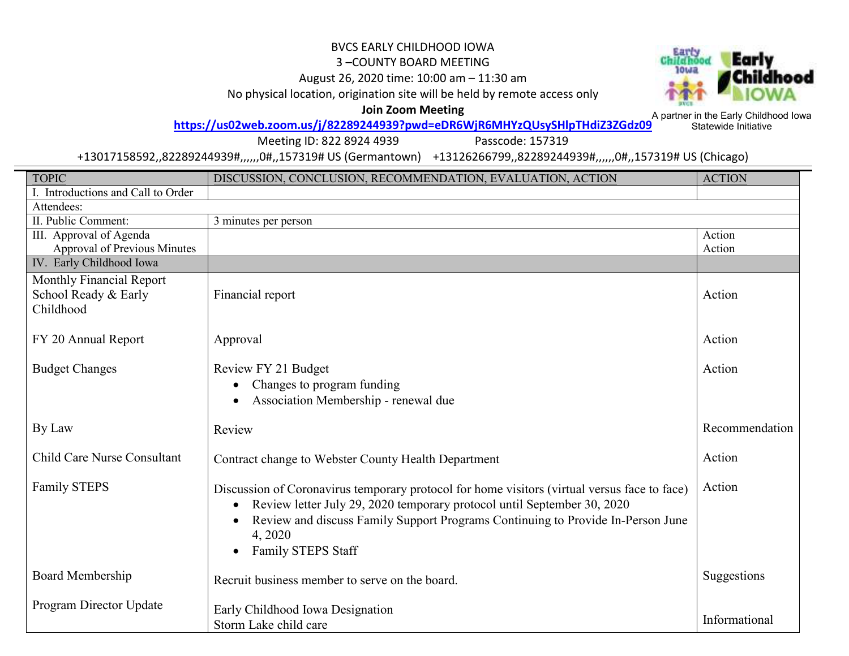## BVCS EARLY CHILDHOOD IOWA

## 3 –COUNTY BOARD MEETING

August 26, 2020 time: 10:00 am – 11:30 am

No physical location, origination site will be held by remote access only



**Join Zoom Meeting** 

A partner in the Early Childhood Iowa Statewide Initiative**https://us02web.zoom.us/j/82289244939?pwd=eDR6WjR6MHYzQUsySHlpTHdiZ3ZGdz09**

Meeting ID: 822 8924 4939 Passcode: 157319

+13017158592,,82289244939#,,,,,,0#,,157319# US (Germantown) +13126266799,,82289244939#,,,,,,0#,,157319# US (Chicago)

| <b>TOPIC</b>                       | DISCUSSION, CONCLUSION, RECOMMENDATION, EVALUATION, ACTION                                   | <b>ACTION</b>  |  |
|------------------------------------|----------------------------------------------------------------------------------------------|----------------|--|
| I. Introductions and Call to Order |                                                                                              |                |  |
| Attendees:                         |                                                                                              |                |  |
| II. Public Comment:                | 3 minutes per person                                                                         |                |  |
| III. Approval of Agenda            |                                                                                              | Action         |  |
| Approval of Previous Minutes       |                                                                                              | Action         |  |
| IV. Early Childhood Iowa           |                                                                                              |                |  |
| Monthly Financial Report           |                                                                                              |                |  |
| School Ready & Early               | Financial report                                                                             | Action         |  |
| Childhood                          |                                                                                              |                |  |
|                                    |                                                                                              |                |  |
| FY 20 Annual Report                | Approval                                                                                     | Action         |  |
|                                    |                                                                                              |                |  |
| <b>Budget Changes</b>              | Review FY 21 Budget                                                                          | Action         |  |
|                                    | Changes to program funding                                                                   |                |  |
|                                    | Association Membership - renewal due                                                         |                |  |
|                                    |                                                                                              |                |  |
| By Law                             | Review                                                                                       | Recommendation |  |
|                                    |                                                                                              |                |  |
| <b>Child Care Nurse Consultant</b> | Contract change to Webster County Health Department                                          | Action         |  |
|                                    |                                                                                              |                |  |
| <b>Family STEPS</b>                | Discussion of Coronavirus temporary protocol for home visitors (virtual versus face to face) | Action         |  |
|                                    | Review letter July 29, 2020 temporary protocol until September 30, 2020                      |                |  |
|                                    | $\bullet$                                                                                    |                |  |
|                                    | Review and discuss Family Support Programs Continuing to Provide In-Person June              |                |  |
|                                    | 4,2020                                                                                       |                |  |
|                                    | Family STEPS Staff                                                                           |                |  |
| <b>Board Membership</b>            |                                                                                              | Suggestions    |  |
|                                    | Recruit business member to serve on the board.                                               |                |  |
| Program Director Update            |                                                                                              |                |  |
|                                    | Early Childhood Iowa Designation                                                             | Informational  |  |
|                                    | Storm Lake child care                                                                        |                |  |